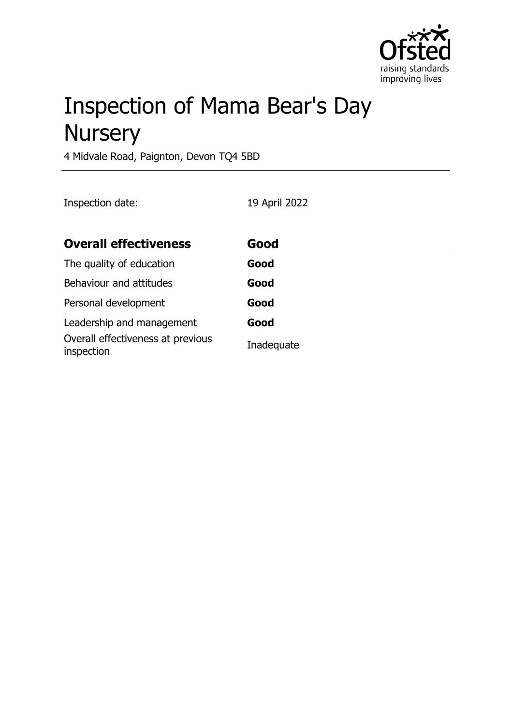

# Inspection of Mama Bear's Day **Nursery**

4 Midvale Road, Paignton, Devon TQ4 5BD

Inspection date: 19 April 2022

| <b>Overall effectiveness</b>                    | Good       |
|-------------------------------------------------|------------|
| The quality of education                        | Good       |
| Behaviour and attitudes                         | Good       |
| Personal development                            | Good       |
| Leadership and management                       | Good       |
| Overall effectiveness at previous<br>inspection | Inadequate |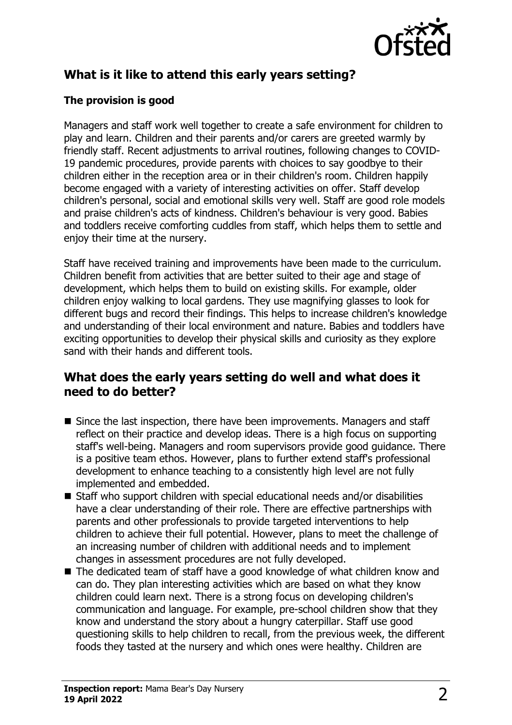

# **What is it like to attend this early years setting?**

#### **The provision is good**

Managers and staff work well together to create a safe environment for children to play and learn. Children and their parents and/or carers are greeted warmly by friendly staff. Recent adjustments to arrival routines, following changes to COVID-19 pandemic procedures, provide parents with choices to say goodbye to their children either in the reception area or in their children's room. Children happily become engaged with a variety of interesting activities on offer. Staff develop children's personal, social and emotional skills very well. Staff are good role models and praise children's acts of kindness. Children's behaviour is very good. Babies and toddlers receive comforting cuddles from staff, which helps them to settle and enjoy their time at the nursery.

Staff have received training and improvements have been made to the curriculum. Children benefit from activities that are better suited to their age and stage of development, which helps them to build on existing skills. For example, older children enjoy walking to local gardens. They use magnifying glasses to look for different bugs and record their findings. This helps to increase children's knowledge and understanding of their local environment and nature. Babies and toddlers have exciting opportunities to develop their physical skills and curiosity as they explore sand with their hands and different tools.

#### **What does the early years setting do well and what does it need to do better?**

- Since the last inspection, there have been improvements. Managers and staff reflect on their practice and develop ideas. There is a high focus on supporting staff's well-being. Managers and room supervisors provide good guidance. There is a positive team ethos. However, plans to further extend staff's professional development to enhance teaching to a consistently high level are not fully implemented and embedded.
- $\blacksquare$  Staff who support children with special educational needs and/or disabilities have a clear understanding of their role. There are effective partnerships with parents and other professionals to provide targeted interventions to help children to achieve their full potential. However, plans to meet the challenge of an increasing number of children with additional needs and to implement changes in assessment procedures are not fully developed.
- The dedicated team of staff have a good knowledge of what children know and can do. They plan interesting activities which are based on what they know children could learn next. There is a strong focus on developing children's communication and language. For example, pre-school children show that they know and understand the story about a hungry caterpillar. Staff use good questioning skills to help children to recall, from the previous week, the different foods they tasted at the nursery and which ones were healthy. Children are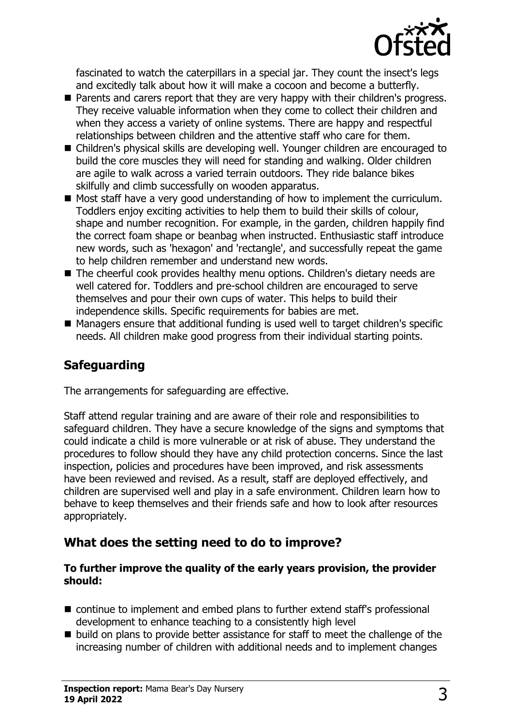

fascinated to watch the caterpillars in a special jar. They count the insect's legs and excitedly talk about how it will make a cocoon and become a butterfly.

- Parents and carers report that they are very happy with their children's progress. They receive valuable information when they come to collect their children and when they access a variety of online systems. There are happy and respectful relationships between children and the attentive staff who care for them.
- Children's physical skills are developing well. Younger children are encouraged to build the core muscles they will need for standing and walking. Older children are agile to walk across a varied terrain outdoors. They ride balance bikes skilfully and climb successfully on wooden apparatus.
- $\blacksquare$  Most staff have a very good understanding of how to implement the curriculum. Toddlers enjoy exciting activities to help them to build their skills of colour, shape and number recognition. For example, in the garden, children happily find the correct foam shape or beanbag when instructed. Enthusiastic staff introduce new words, such as 'hexagon' and 'rectangle', and successfully repeat the game to help children remember and understand new words.
- The cheerful cook provides healthy menu options. Children's dietary needs are well catered for. Toddlers and pre-school children are encouraged to serve themselves and pour their own cups of water. This helps to build their independence skills. Specific requirements for babies are met.
- $\blacksquare$  Managers ensure that additional funding is used well to target children's specific needs. All children make good progress from their individual starting points.

# **Safeguarding**

The arrangements for safeguarding are effective.

Staff attend regular training and are aware of their role and responsibilities to safeguard children. They have a secure knowledge of the signs and symptoms that could indicate a child is more vulnerable or at risk of abuse. They understand the procedures to follow should they have any child protection concerns. Since the last inspection, policies and procedures have been improved, and risk assessments have been reviewed and revised. As a result, staff are deployed effectively, and children are supervised well and play in a safe environment. Children learn how to behave to keep themselves and their friends safe and how to look after resources appropriately.

## **What does the setting need to do to improve?**

#### **To further improve the quality of the early years provision, the provider should:**

- $\blacksquare$  continue to implement and embed plans to further extend staff's professional development to enhance teaching to a consistently high level
- $\blacksquare$  build on plans to provide better assistance for staff to meet the challenge of the increasing number of children with additional needs and to implement changes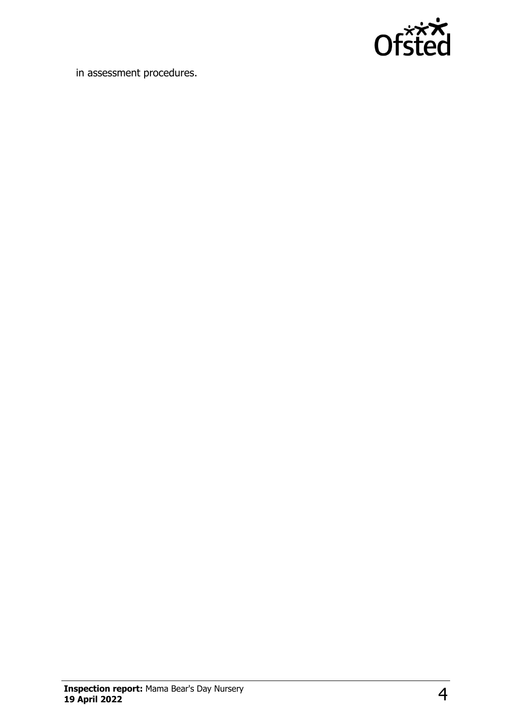

in assessment procedures.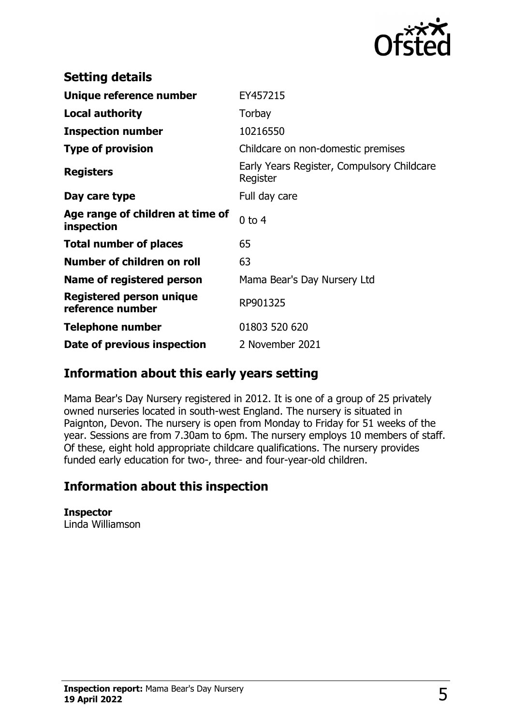

| <b>Setting details</b>                         |                                                        |
|------------------------------------------------|--------------------------------------------------------|
| Unique reference number                        | EY457215                                               |
| <b>Local authority</b>                         | Torbay                                                 |
| <b>Inspection number</b>                       | 10216550                                               |
| <b>Type of provision</b>                       | Childcare on non-domestic premises                     |
| <b>Registers</b>                               | Early Years Register, Compulsory Childcare<br>Register |
| Day care type                                  | Full day care                                          |
| Age range of children at time of<br>inspection | $0$ to $4$                                             |
| <b>Total number of places</b>                  | 65                                                     |
| Number of children on roll                     | 63                                                     |
| Name of registered person                      | Mama Bear's Day Nursery Ltd                            |
| Registered person unique<br>reference number   | RP901325                                               |
| <b>Telephone number</b>                        | 01803 520 620                                          |
| Date of previous inspection                    | 2 November 2021                                        |

## **Information about this early years setting**

Mama Bear's Day Nursery registered in 2012. It is one of a group of 25 privately owned nurseries located in south-west England. The nursery is situated in Paignton, Devon. The nursery is open from Monday to Friday for 51 weeks of the year. Sessions are from 7.30am to 6pm. The nursery employs 10 members of staff. Of these, eight hold appropriate childcare qualifications. The nursery provides funded early education for two-, three- and four-year-old children.

## **Information about this inspection**

**Inspector** Linda Williamson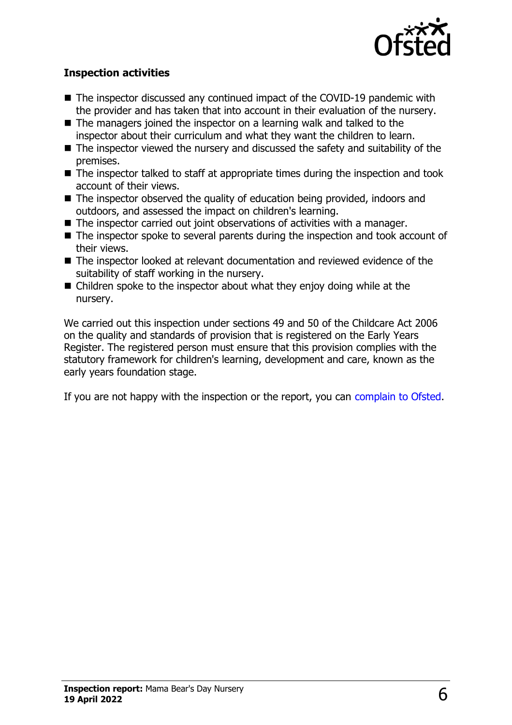

#### **Inspection activities**

- $\blacksquare$  The inspector discussed any continued impact of the COVID-19 pandemic with the provider and has taken that into account in their evaluation of the nursery.
- $\blacksquare$  The managers joined the inspector on a learning walk and talked to the inspector about their curriculum and what they want the children to learn.
- $\blacksquare$  The inspector viewed the nursery and discussed the safety and suitability of the premises.
- $\blacksquare$  The inspector talked to staff at appropriate times during the inspection and took account of their views.
- $\blacksquare$  The inspector observed the quality of education being provided, indoors and outdoors, and assessed the impact on children's learning.
- $\blacksquare$  The inspector carried out joint observations of activities with a manager.
- $\blacksquare$  The inspector spoke to several parents during the inspection and took account of their views.
- $\blacksquare$  The inspector looked at relevant documentation and reviewed evidence of the suitability of staff working in the nursery.
- $\blacksquare$  Children spoke to the inspector about what they enjoy doing while at the nursery.

We carried out this inspection under sections 49 and 50 of the Childcare Act 2006 on the quality and standards of provision that is registered on the Early Years Register. The registered person must ensure that this provision complies with the statutory framework for children's learning, development and care, known as the early years foundation stage.

If you are not happy with the inspection or the report, you can [complain to Ofsted](http://www.gov.uk/complain-ofsted-report).